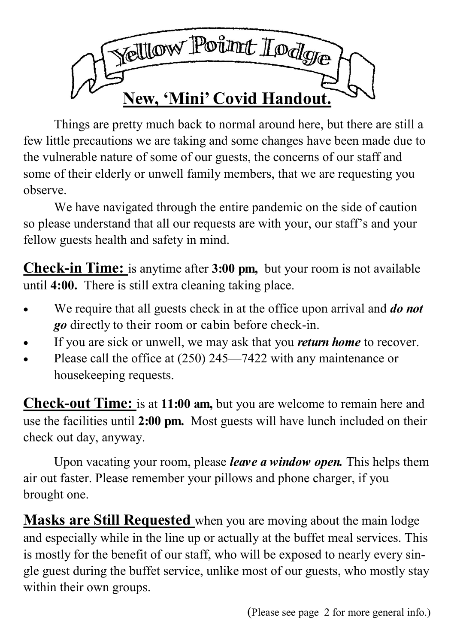

Things are pretty much back to normal around here, but there are still a few little precautions we are taking and some changes have been made due to the vulnerable nature of some of our guests, the concerns of our staff and some of their elderly or unwell family members, that we are requesting you observe.

We have navigated through the entire pandemic on the side of caution so please understand that all our requests are with your, our staff's and your fellow guests health and safety in mind.

**Check-in Time:** is anytime after **3:00 pm,** but your room is not available until **4:00.** There is still extra cleaning taking place.

- We require that all guests check in at the office upon arrival and *do not go* directly to their room or cabin before check-in.
- If you are sick or unwell, we may ask that you *return home* to recover.
- Please call the office at (250) 245—7422 with any maintenance or housekeeping requests.

**Check-out Time:** is at **11:00 am,** but you are welcome to remain here and use the facilities until **2:00 pm.** Most guests will have lunch included on their check out day, anyway.

Upon vacating your room, please *leave a window open.* This helps them air out faster. Please remember your pillows and phone charger, if you brought one.

**Masks are Still Requested** when you are moving about the main lodge and especially while in the line up or actually at the buffet meal services. This is mostly for the benefit of our staff, who will be exposed to nearly every single guest during the buffet service, unlike most of our guests, who mostly stay within their own groups.